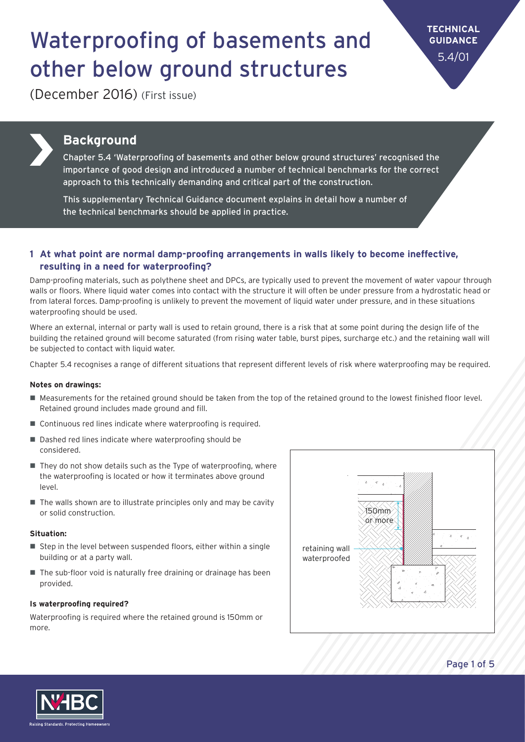**TECHNICAL GUIDANCE** 5.4/01

(December 2016) (First issue)



### **Background**

Chapter 5.4 'Waterproofing of basements and other below ground structures' recognised the importance of good design and introduced a number of technical benchmarks for the correct approach to this technically demanding and critical part of the construction.

This supplementary Technical Guidance document explains in detail how a number of the technical benchmarks should be applied in practice.

#### **1 At what point are normal damp-proofing arrangements in walls likely to become ineffective, resulting in a need for waterproofing?**

Damp-proofing materials, such as polythene sheet and DPCs, are typically used to prevent the movement of water vapour through walls or floors. Where liquid water comes into contact with the structure it will often be under pressure from a hydrostatic head or from lateral forces. Damp-proofing is unlikely to prevent the movement of liquid water under pressure, and in these situations waterproofing should be used.

Where an external, internal or party wall is used to retain ground, there is a risk that at some point during the design life of the building the retained ground will become saturated (from rising water table, burst pipes, surcharge etc.) and the retaining wall will be subjected to contact with liquid water.

Chapter 5.4 recognises a range of different situations that represent different levels of risk where waterproofing may be required.

#### **Notes on drawings:**

- Measurements for the retained ground should be taken from the top of the retained ground to the lowest finished floor level. Retained ground includes made ground and fill.
- $\blacksquare$  Continuous red lines indicate where waterproofing is required.
- $\blacksquare$  Dashed red lines indicate where waterproofing should be considered.
- $\blacksquare$  They do not show details such as the Type of waterproofing, where the waterproofing is located or how it terminates above ground level.
- $\blacksquare$  The walls shown are to illustrate principles only and may be cavity or solid construction.

#### **Situation:**

- $\blacksquare$  Step in the level between suspended floors, either within a single building or at a party wall.
- $\blacksquare$  The sub-floor void is naturally free draining or drainage has been provided.

#### **Is waterproofing required?**

Waterproofing is required where the retained ground is 150mm or more.





Page 1 of 5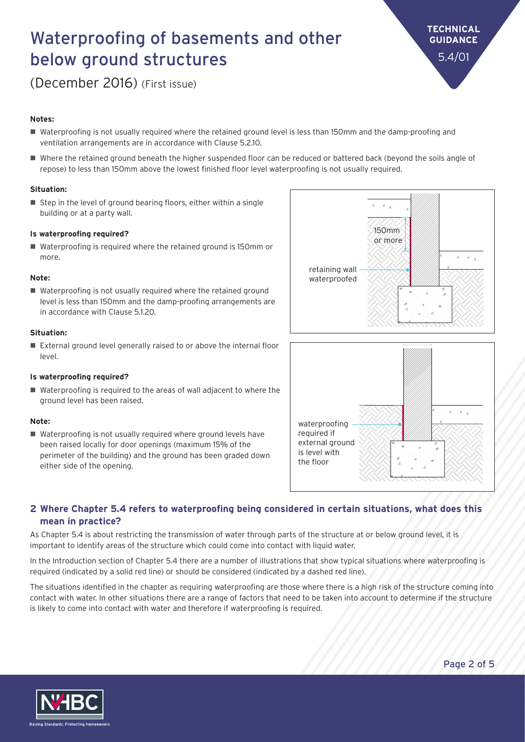**TECHNICAL GUIDANCE** 5.4/01

(December 2016) (First issue)

#### **Notes:**

- n Waterproofing is not usually required where the retained ground level is less than 150mm and the damp-proofing and ventilation arrangements are in accordance with Clause 5.2.10.
- Where the retained ground beneath the higher suspended floor can be reduced or battered back (beyond the soils angle of repose) to less than 150mm above the lowest finished floor level waterproofing is not usually required.

#### **Situation:**

 $\blacksquare$  Step in the level of ground bearing floors, either within a single building or at a party wall.

#### **Is waterproofing required?**

 $\blacksquare$  Waterproofing is required where the retained ground is 150mm or more.

#### **Note:**

 $\blacksquare$  Waterproofing is not usually required where the retained ground level is less than 150mm and the damp-proofing arrangements are in accordance with Clause 5.1.20.

#### **Situation:**

 $\blacksquare$  External ground level generally raised to or above the internal floor level.

#### **Is waterproofing required?**

■ Waterproofing is required to the areas of wall adjacent to where the ground level has been raised.

#### **Note:**

 $\blacksquare$  Waterproofing is not usually required where ground levels have been raised locally for door openings (maximum 15% of the perimeter of the building) and the ground has been graded down either side of the opening.





#### **2 Where Chapter 5.4 refers to waterproofing being considered in certain situations, what does this mean in practice?**

As Chapter 5.4 is about restricting the transmission of water through parts of the structure at or below ground level, it is important to identify areas of the structure which could come into contact with liquid water.

In the Introduction section of Chapter 5.4 there are a number of illustrations that show typical situations where waterproofing is required (indicated by a solid red line) or should be considered (indicated by a dashed red line).

The situations identified in the chapter as requiring waterproofing are those where there is a high risk of the structure coming into contact with water. In other situations there are a range of factors that need to be taken into account to determine if the structure is likely to come into contact with water and therefore if waterproofing is required.

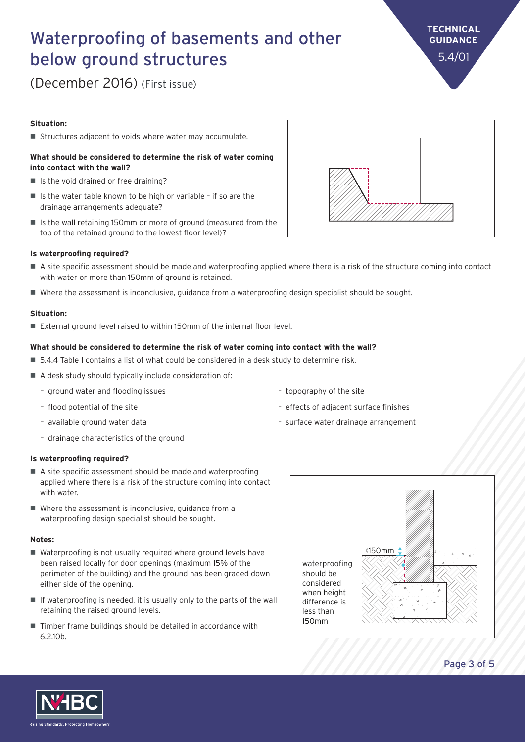#### Page 3 of 5

## Waterproofing of basements and other below ground structures

(December 2016) (First issue)

#### **Situation:**

■ Structures adjacent to voids where water may accumulate.

#### **What should be considered to determine the risk of water coming into contact with the wall?**

- $\blacksquare$  Is the void drained or free draining?
- $\blacksquare$  Is the water table known to be high or variable if so are the drainage arrangements adequate?
- $\blacksquare$  Is the wall retaining 150mm or more of ground (measured from the top of the retained ground to the lowest floor level)?

#### **Is waterproofing required?**

- n A site specific assessment should be made and waterproofing applied where there is a risk of the structure coming into contact with water or more than 150mm of ground is retained.
- Where the assessment is inconclusive, guidance from a waterproofing design specialist should be sought.

#### **Situation:**

 $\blacksquare$  External ground level raised to within 150mm of the internal floor level.

#### **What should be considered to determine the risk of water coming into contact with the wall?**

- 5.4.4 Table 1 contains a list of what could be considered in a desk study to determine risk.
- $\blacksquare$  A desk study should typically include consideration of:
	- ground water and flooding issues
	- flood potential of the site
	- available ground water data
	- drainage characteristics of the ground

#### **Is waterproofing required?**

- $\blacksquare$  A site specific assessment should be made and waterproofing applied where there is a risk of the structure coming into contact with water.
- $\blacksquare$  Where the assessment is inconclusive, quidance from a waterproofing design specialist should be sought.

#### **Notes:**

- $\blacksquare$  Waterproofing is not usually required where ground levels have been raised locally for door openings (maximum 15% of the perimeter of the building) and the ground has been graded down either side of the opening.
- $\blacksquare$  If waterproofing is needed, it is usually only to the parts of the wall retaining the raised ground levels.
- $\blacksquare$  Timber frame buildings should be detailed in accordance with 6.2.10b.
- topography of the site – effects of adjacent surface finishes
- 







**TECHNICAL GUIDANCE** 5.4/01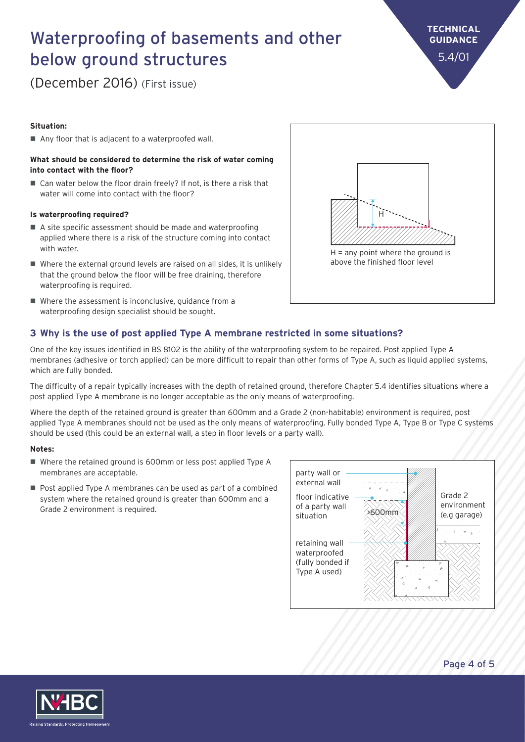(December 2016) (First issue)

#### **Situation:**

■ Any floor that is adjacent to a waterproofed wall.

#### **What should be considered to determine the risk of water coming into contact with the floor?**

 $\blacksquare$  Can water below the floor drain freely? If not, is there a risk that water will come into contact with the floor?

#### **Is waterproofing required?**

- $\blacksquare$  A site specific assessment should be made and waterproofing applied where there is a risk of the structure coming into contact with water.
- $\blacksquare$  Where the external ground levels are raised on all sides, it is unlikely that the ground below the floor will be free draining, therefore waterproofing is required.
- $\blacksquare$  Where the assessment is inconclusive, guidance from a waterproofing design specialist should be sought.

#### **3 Why is the use of post applied Type A membrane restricted in some situations?**

One of the key issues identified in BS 8102 is the ability of the waterproofing system to be repaired. Post applied Type A membranes (adhesive or torch applied) can be more difficult to repair than other forms of Type A, such as liquid applied systems, which are fully bonded.

The difficulty of a repair typically increases with the depth of retained ground, therefore Chapter 5.4 identifies situations where a post applied Type A membrane is no longer acceptable as the only means of waterproofing.

Where the depth of the retained ground is greater than 600mm and a Grade 2 (non-habitable) environment is required, post applied Type A membranes should not be used as the only means of waterproofing. Fully bonded Type A, Type B or Type C systems should be used (this could be an external wall, a step in floor levels or a party wall).

#### **Notes:**

- Where the retained ground is 600mm or less post applied Type A membranes are acceptable.
- $\blacksquare$  Post applied Type A membranes can be used as part of a combined system where the retained ground is greater than 600mm and a Grade 2 environment is required.







**TECHNICAL GUIDANCE** 5.4/01